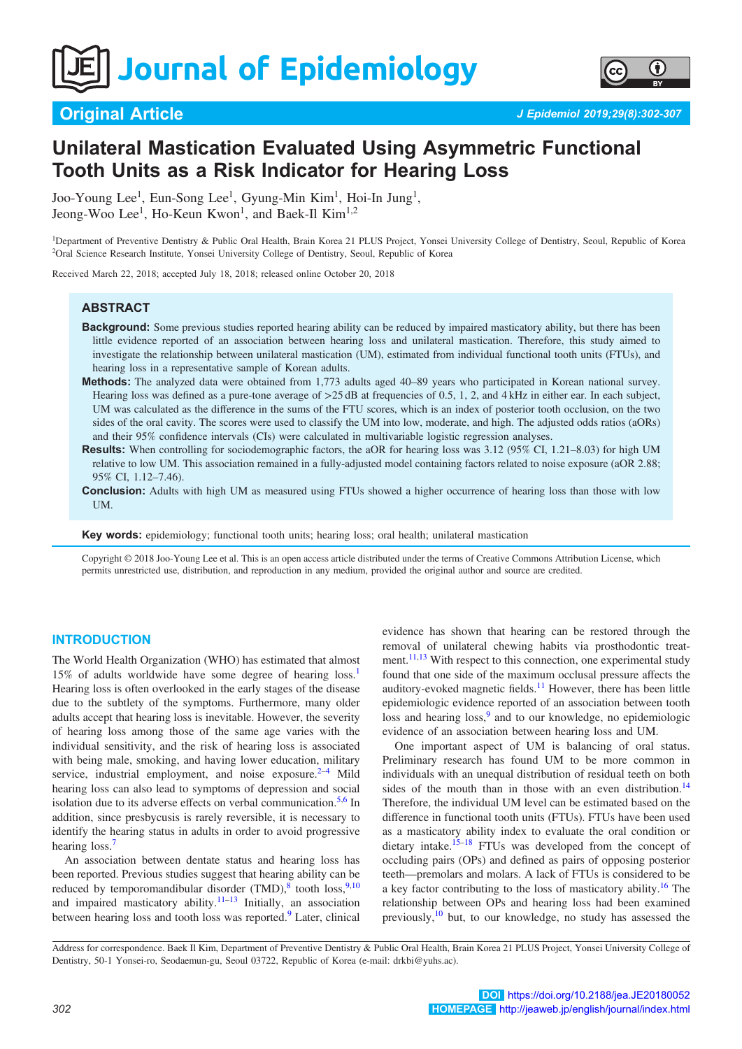

# Unilateral Mastication Evaluated Using Asymmetric Functional Tooth Units as a Risk Indicator for Hearing Loss

Joo-Young Lee<sup>1</sup>, Eun-Song Lee<sup>1</sup>, Gyung-Min Kim<sup>1</sup>, Hoi-In Jung<sup>1</sup>, Jeong-Woo Lee<sup>1</sup>, Ho-Keun Kwon<sup>1</sup>, and Baek-Il Kim<sup>1,2</sup>

<sup>1</sup>Department of Preventive Dentistry & Public Oral Health, Brain Korea 21 PLUS Project, Yonsei University College of Dentistry, Seoul, Republic of Korea <sup>2</sup>Oral Science Research Institute, Yonsei University College of Dentistry, Seoul, Republic of Korea

Received March 22, 2018; accepted July 18, 2018; released online October 20, 2018

# ABSTRACT

- **Background:** Some previous studies reported hearing ability can be reduced by impaired masticatory ability, but there has been little evidence reported of an association between hearing loss and unilateral mastication. Therefore, this study aimed to investigate the relationship between unilateral mastication (UM), estimated from individual functional tooth units (FTUs), and hearing loss in a representative sample of Korean adults.
- Methods: The analyzed data were obtained from 1,773 adults aged 40–89 years who participated in Korean national survey. Hearing loss was defined as a pure-tone average of  $>25$  dB at frequencies of 0.5, 1, 2, and 4 kHz in either ear. In each subject, UM was calculated as the difference in the sums of the FTU scores, which is an index of posterior tooth occlusion, on the two sides of the oral cavity. The scores were used to classify the UM into low, moderate, and high. The adjusted odds ratios (aORs) and their 95% confidence intervals (CIs) were calculated in multivariable logistic regression analyses.
- Results: When controlling for sociodemographic factors, the aOR for hearing loss was 3.12 (95% CI, 1.21–8.03) for high UM relative to low UM. This association remained in a fully-adjusted model containing factors related to noise exposure (aOR 2.88; 95% CI, 1.12–7.46).
- Conclusion: Adults with high UM as measured using FTUs showed a higher occurrence of hearing loss than those with low UM.

Key words: epidemiology; functional tooth units; hearing loss; oral health; unilateral mastication

Copyright © 2018 Joo-Young Lee et al. This is an open access article distributed under the terms of Creative Commons Attribution License, which permits unrestricted use, distribution, and reproduction in any medium, provided the original author and source are credited.

# **INTRODUCTION**

The World Health Organization (WHO) has estimated that almost 15% of adults worldwide have some degree of hearing loss.[1](#page-4-0) Hearing loss is often overlooked in the early stages of the disease due to the subtlety of the symptoms. Furthermore, many older adults accept that hearing loss is inevitable. However, the severity of hearing loss among those of the same age varies with the individual sensitivity, and the risk of hearing loss is associated with being male, smoking, and having lower education, military service, industrial employment, and noise exposure. $2-4$  $2-4$  $2-4$  Mild hearing loss can also lead to symptoms of depression and social isolation due to its adverse effects on verbal communication.<sup>5,6</sup> In addition, since presbycusis is rarely reversible, it is necessary to identify the hearing status in adults in order to avoid progressive hearing loss.<sup>[7](#page-4-0)</sup>

An association between dentate status and hearing loss has been reported. Previous studies suggest that hearing ability can be reduced by temporomandibular disorder  $(TMD)$ ,<sup>[8](#page-5-0)</sup> tooth loss,<sup>[9,10](#page-5-0)</sup> and impaired masticatory ability. $11-13$  $11-13$  $11-13$  Initially, an association between hearing loss and tooth loss was reported.<sup>[9](#page-5-0)</sup> Later, clinical

evidence has shown that hearing can be restored through the removal of unilateral chewing habits via prosthodontic treat-ment.<sup>[11,13](#page-5-0)</sup> With respect to this connection, one experimental study found that one side of the maximum occlusal pressure affects the auditory-evoked magnetic fields. $^{11}$  $^{11}$  $^{11}$  However, there has been little epidemiologic evidence reported of an association between tooth loss and hearing loss,<sup>[9](#page-5-0)</sup> and to our knowledge, no epidemiologic evidence of an association between hearing loss and UM.

One important aspect of UM is balancing of oral status. Preliminary research has found UM to be more common in individuals with an unequal distribution of residual teeth on both sides of the mouth than in those with an even distribution.<sup>[14](#page-5-0)</sup> Therefore, the individual UM level can be estimated based on the difference in functional tooth units (FTUs). FTUs have been used as a masticatory ability index to evaluate the oral condition or dietary intake. $15-18$  $15-18$  $15-18$  FTUs was developed from the concept of occluding pairs (OPs) and defined as pairs of opposing posterior teeth—premolars and molars. A lack of FTUs is considered to be a key factor contributing to the loss of masticatory ability.[16](#page-5-0) The relationship between OPs and hearing loss had been examined previously,<sup>[10](#page-5-0)</sup> but, to our knowledge, no study has assessed the

Address for correspondence. Baek Il Kim, Department of Preventive Dentistry & Public Oral Health, Brain Korea 21 PLUS Project, Yonsei University College of Dentistry, 50-1 Yonsei-ro, Seodaemun-gu, Seoul 03722, Republic of Korea (e-mail: drkbi@yuhs.ac).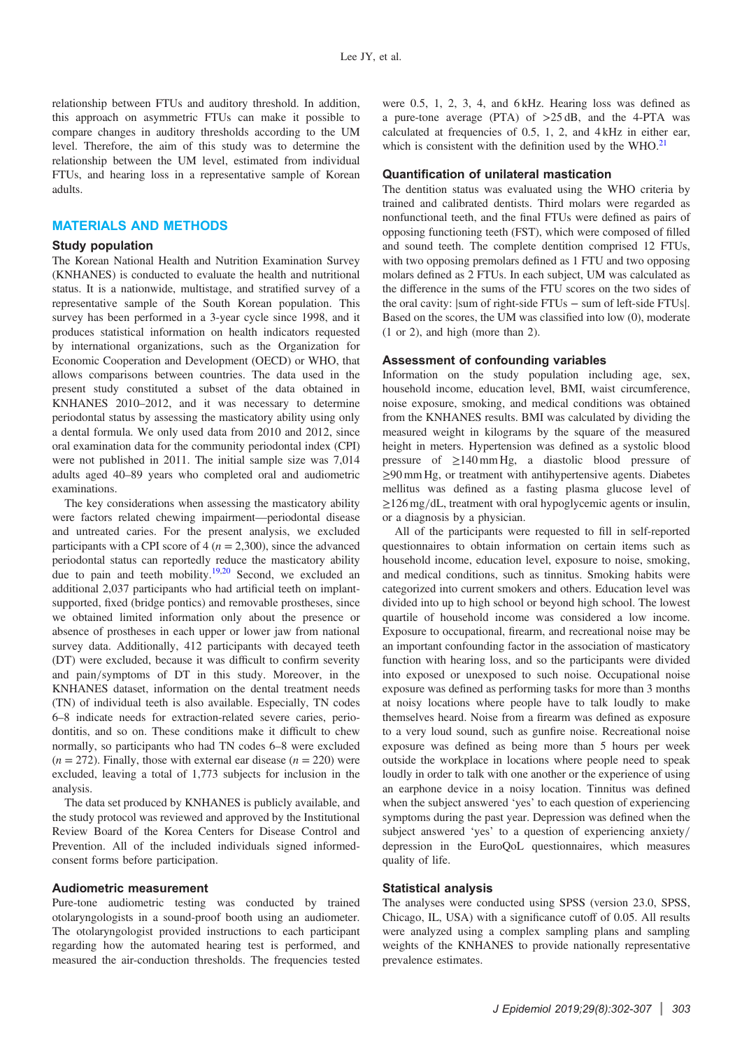relationship between FTUs and auditory threshold. In addition, this approach on asymmetric FTUs can make it possible to compare changes in auditory thresholds according to the UM level. Therefore, the aim of this study was to determine the relationship between the UM level, estimated from individual FTUs, and hearing loss in a representative sample of Korean adults.

# MATERIALS AND METHODS

#### Study population

The Korean National Health and Nutrition Examination Survey (KNHANES) is conducted to evaluate the health and nutritional status. It is a nationwide, multistage, and stratified survey of a representative sample of the South Korean population. This survey has been performed in a 3-year cycle since 1998, and it produces statistical information on health indicators requested by international organizations, such as the Organization for Economic Cooperation and Development (OECD) or WHO, that allows comparisons between countries. The data used in the present study constituted a subset of the data obtained in KNHANES 2010–2012, and it was necessary to determine periodontal status by assessing the masticatory ability using only a dental formula. We only used data from 2010 and 2012, since oral examination data for the community periodontal index (CPI) were not published in 2011. The initial sample size was 7,014 adults aged 40–89 years who completed oral and audiometric examinations.

The key considerations when assessing the masticatory ability were factors related chewing impairment—periodontal disease and untreated caries. For the present analysis, we excluded participants with a CPI score of 4 ( $n = 2,300$ ), since the advanced periodontal status can reportedly reduce the masticatory ability due to pain and teeth mobility.<sup>[19,20](#page-5-0)</sup> Second, we excluded an additional 2,037 participants who had artificial teeth on implantsupported, fixed (bridge pontics) and removable prostheses, since we obtained limited information only about the presence or absence of prostheses in each upper or lower jaw from national survey data. Additionally, 412 participants with decayed teeth (DT) were excluded, because it was difficult to confirm severity and pain/symptoms of DT in this study. Moreover, in the KNHANES dataset, information on the dental treatment needs (TN) of individual teeth is also available. Especially, TN codes 6–8 indicate needs for extraction-related severe caries, periodontitis, and so on. These conditions make it difficult to chew normally, so participants who had TN codes 6–8 were excluded  $(n = 272)$ . Finally, those with external ear disease  $(n = 220)$  were excluded, leaving a total of 1,773 subjects for inclusion in the analysis.

The data set produced by KNHANES is publicly available, and the study protocol was reviewed and approved by the Institutional Review Board of the Korea Centers for Disease Control and Prevention. All of the included individuals signed informedconsent forms before participation.

### Audiometric measurement

Pure-tone audiometric testing was conducted by trained otolaryngologists in a sound-proof booth using an audiometer. The otolaryngologist provided instructions to each participant regarding how the automated hearing test is performed, and measured the air-conduction thresholds. The frequencies tested

were 0.5, 1, 2, 3, 4, and 6 kHz. Hearing loss was defined as a pure-tone average (PTA) of  $>25$  dB, and the 4-PTA was calculated at frequencies of 0.5, 1, 2, and 4 kHz in either ear, which is consistent with the definition used by the  $WHO<sup>21</sup>$  $WHO<sup>21</sup>$  $WHO<sup>21</sup>$ 

## Quantification of unilateral mastication

The dentition status was evaluated using the WHO criteria by trained and calibrated dentists. Third molars were regarded as nonfunctional teeth, and the final FTUs were defined as pairs of opposing functioning teeth (FST), which were composed of filled and sound teeth. The complete dentition comprised 12 FTUs, with two opposing premolars defined as 1 FTU and two opposing molars defined as 2 FTUs. In each subject, UM was calculated as the difference in the sums of the FTU scores on the two sides of the oral cavity: ∣sum of right-side FTUs − sum of left-side FTUs∣. Based on the scores, the UM was classified into low (0), moderate (1 or 2), and high (more than 2).

## Assessment of confounding variables

Information on the study population including age, sex, household income, education level, BMI, waist circumference, noise exposure, smoking, and medical conditions was obtained from the KNHANES results. BMI was calculated by dividing the measured weight in kilograms by the square of the measured height in meters. Hypertension was defined as a systolic blood pressure of  $\geq 140$  mm Hg, a diastolic blood pressure of ≥90 mm Hg, or treatment with antihypertensive agents. Diabetes mellitus was defined as a fasting plasma glucose level of  $\geq$ 126 mg/dL, treatment with oral hypoglycemic agents or insulin, or a diagnosis by a physician.

All of the participants were requested to fill in self-reported questionnaires to obtain information on certain items such as household income, education level, exposure to noise, smoking, and medical conditions, such as tinnitus. Smoking habits were categorized into current smokers and others. Education level was divided into up to high school or beyond high school. The lowest quartile of household income was considered a low income. Exposure to occupational, firearm, and recreational noise may be an important confounding factor in the association of masticatory function with hearing loss, and so the participants were divided into exposed or unexposed to such noise. Occupational noise exposure was defined as performing tasks for more than 3 months at noisy locations where people have to talk loudly to make themselves heard. Noise from a firearm was defined as exposure to a very loud sound, such as gunfire noise. Recreational noise exposure was defined as being more than 5 hours per week outside the workplace in locations where people need to speak loudly in order to talk with one another or the experience of using an earphone device in a noisy location. Tinnitus was defined when the subject answered 'yes' to each question of experiencing symptoms during the past year. Depression was defined when the subject answered 'yes' to a question of experiencing anxiety/ depression in the EuroQoL questionnaires, which measures quality of life.

### Statistical analysis

The analyses were conducted using SPSS (version 23.0, SPSS, Chicago, IL, USA) with a significance cutoff of 0.05. All results were analyzed using a complex sampling plans and sampling weights of the KNHANES to provide nationally representative prevalence estimates.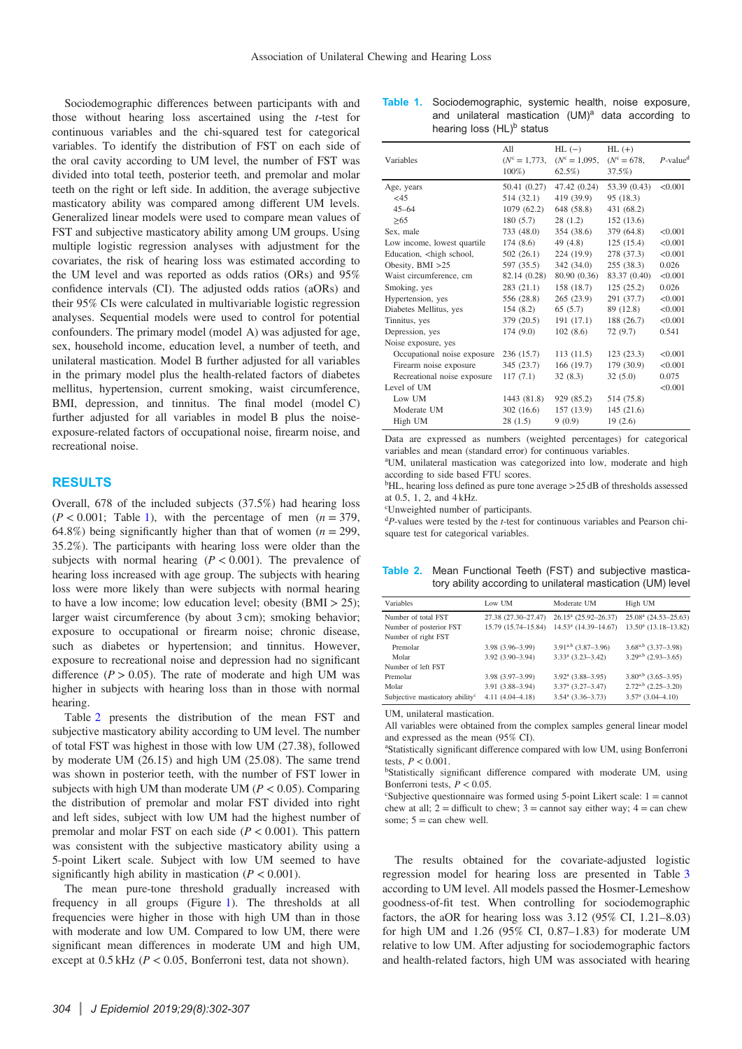<span id="page-2-0"></span>Sociodemographic differences between participants with and those without hearing loss ascertained using the t-test for continuous variables and the chi-squared test for categorical variables. To identify the distribution of FST on each side of the oral cavity according to UM level, the number of FST was divided into total teeth, posterior teeth, and premolar and molar teeth on the right or left side. In addition, the average subjective masticatory ability was compared among different UM levels. Generalized linear models were used to compare mean values of FST and subjective masticatory ability among UM groups. Using multiple logistic regression analyses with adjustment for the covariates, the risk of hearing loss was estimated according to the UM level and was reported as odds ratios (ORs) and 95% confidence intervals (CI). The adjusted odds ratios (aORs) and their 95% CIs were calculated in multivariable logistic regression analyses. Sequential models were used to control for potential confounders. The primary model (model A) was adjusted for age, sex, household income, education level, a number of teeth, and unilateral mastication. Model B further adjusted for all variables in the primary model plus the health-related factors of diabetes mellitus, hypertension, current smoking, waist circumference, BMI, depression, and tinnitus. The final model (model C) further adjusted for all variables in model B plus the noiseexposure-related factors of occupational noise, firearm noise, and recreational noise.

# RESULTS

Overall, 678 of the included subjects (37.5%) had hearing loss  $(P < 0.001$ ; Table 1), with the percentage of men  $(n = 379)$ . 64.8%) being significantly higher than that of women  $(n = 299,$ 35.2%). The participants with hearing loss were older than the subjects with normal hearing  $(P < 0.001)$ . The prevalence of hearing loss increased with age group. The subjects with hearing loss were more likely than were subjects with normal hearing to have a low income; low education level; obesity  $(BMI > 25)$ ; larger waist circumference (by about 3 cm); smoking behavior; exposure to occupational or firearm noise; chronic disease, such as diabetes or hypertension; and tinnitus. However, exposure to recreational noise and depression had no significant difference  $(P > 0.05)$ . The rate of moderate and high UM was higher in subjects with hearing loss than in those with normal hearing.

Table 2 presents the distribution of the mean FST and subjective masticatory ability according to UM level. The number of total FST was highest in those with low UM (27.38), followed by moderate UM (26.15) and high UM (25.08). The same trend was shown in posterior teeth, with the number of FST lower in subjects with high UM than moderate UM ( $P < 0.05$ ). Comparing the distribution of premolar and molar FST divided into right and left sides, subject with low UM had the highest number of premolar and molar FST on each side  $(P < 0.001)$ . This pattern was consistent with the subjective masticatory ability using a 5-point Likert scale. Subject with low UM seemed to have significantly high ability in mastication  $(P < 0.001)$ .

The mean pure-tone threshold gradually increased with frequency in all groups (Figure [1\)](#page-3-0). The thresholds at all frequencies were higher in those with high UM than in those with moderate and low UM. Compared to low UM, there were significant mean differences in moderate UM and high UM, except at  $0.5$  kHz ( $P < 0.05$ , Bonferroni test, data not shown).

Table 1. Sociodemographic, systemic health, noise exposure, and unilateral mastication  $(UM)^a$  data according to hearing loss  $(HL)^b$  status

|                                                                                                                       | All             | $HL$ $(-)$      | $HL (+)$        |                                          |
|-----------------------------------------------------------------------------------------------------------------------|-----------------|-----------------|-----------------|------------------------------------------|
| Variables                                                                                                             | $(N^c = 1,773,$ | $(N^c = 1.095,$ | $(N^c = 678)$ . | $P$ -value <sup><math>\circ</math></sup> |
|                                                                                                                       | $100\%)$        | $62.5\%$        | $37.5\%$        |                                          |
| Age, years                                                                                                            | 50.41 (0.27)    | 47.42 (0.24)    | 53.39 (0.43)    | < 0.001                                  |
| $<$ 45                                                                                                                | 514 (32.1)      | 419 (39.9)      | 95 (18.3)       |                                          |
| $45 - 64$                                                                                                             | 1079 (62.2)     | 648 (58.8)      | 431 (68.2)      |                                          |
| $\geq 65$                                                                                                             | 180(5.7)        | 28(1.2)         | 152(13.6)       |                                          |
| Sex. male                                                                                                             | 733 (48.0)      | 354 (38.6)      | 379 (64.8)      | < 0.001                                  |
| Low income, lowest quartile                                                                                           | 174(8.6)        | 49 (4.8)        | 125(15.4)       | < 0.001                                  |
| Education, <high school,<="" td=""><td>502(26.1)</td><td>224 (19.9)</td><td>278 (37.3)</td><td>&lt; 0.001</td></high> | 502(26.1)       | 224 (19.9)      | 278 (37.3)      | < 0.001                                  |
| Obesity, $BMI > 25$                                                                                                   | 597 (35.5)      | 342 (34.0)      | 255(38.3)       | 0.026                                    |
| Waist circumference, cm                                                                                               | 82.14 (0.28)    | 80.90 (0.36)    | 83.37 (0.40)    | < 0.001                                  |
| Smoking, yes                                                                                                          | 283(21.1)       | 158 (18.7)      | 125(25.2)       | 0.026                                    |
| Hypertension, yes                                                                                                     | 556 (28.8)      | 265(23.9)       | 291 (37.7)      | < 0.001                                  |
| Diabetes Mellitus, yes                                                                                                | 154(8.2)        | 65(5.7)         | 89 (12.8)       | < 0.001                                  |
| Tinnitus, yes                                                                                                         | 379 (20.5)      | 191 (17.1)      | 188 (26.7)      | < 0.001                                  |
| Depression, yes                                                                                                       | 174(9.0)        | 102(8.6)        | 72 (9.7)        | 0.541                                    |
| Noise exposure, yes                                                                                                   |                 |                 |                 |                                          |
| Occupational noise exposure                                                                                           | 236(15.7)       | 113(11.5)       | 123(23.3)       | < 0.001                                  |
| Firearm noise exposure                                                                                                | 345 (23.7)      | 166(19.7)       | 179(30.9)       | < 0.001                                  |
| Recreational noise exposure                                                                                           | 117(7.1)        | 32(8.3)         | 32(5.0)         | 0.075                                    |
| Level of UM                                                                                                           |                 |                 |                 | < 0.001                                  |
| Low UM                                                                                                                | 1443 (81.8)     | 929 (85.2)      | 514 (75.8)      |                                          |
| Moderate UM                                                                                                           | 302(16.6)       | 157 (13.9)      | 145 (21.6)      |                                          |
| High UM                                                                                                               | 28(1.5)         | 9(0.9)          | 19(2.6)         |                                          |
|                                                                                                                       |                 |                 |                 |                                          |

Data are expressed as numbers (weighted percentages) for categorical variables and mean (standard error) for continuous variables.

a UM, unilateral mastication was categorized into low, moderate and high according to side based FTU scores.

<sup>b</sup>HL, hearing loss defined as pure tone average >25 dB of thresholds assessed at 0.5, 1, 2, and 4 kHz.

c Unweighted number of participants.

<sup>d</sup>P-values were tested by the *t*-test for continuous variables and Pearson chisquare test for categorical variables.

| <b>Table 2.</b> Mean Functional Teeth (FST) and subjective mastica- |
|---------------------------------------------------------------------|
| tory ability according to unilateral mastication (UM) level         |

| Variables                                   | Low UM              | Moderate UM                      | High UM                          |
|---------------------------------------------|---------------------|----------------------------------|----------------------------------|
| Number of total FST                         | 27.38 (27.30-27.47) | $26.15^a$ (25.92-26.37)          | 25.08 <sup>a</sup> (24.53-25.63) |
| Number of posterior FST                     | 15.79 (15.74-15.84) | 14.53 <sup>a</sup> (14.39-14.67) | 13.50 <sup>a</sup> (13.18-13.82) |
| Number of right FST                         |                     |                                  |                                  |
| Premolar                                    | 3.98 (3.96-3.99)    | $3.91^{a,b}$ (3.87-3.96)         | $3.68^{a,b}$ (3.37-3.98)         |
| Molar                                       | $3.92(3.90 - 3.94)$ | $3.33a$ (3.23-3.42)              | $3.29^{a,b}$ (2.93-3.65)         |
| Number of left FST                          |                     |                                  |                                  |
| Premolar                                    | 3.98 (3.97-3.99)    | $3.92^a$ (3.88-3.95)             | $3.80^{a,b}$ (3.65-3.95)         |
| Molar                                       | $3.91(3.88 - 3.94)$ | $3.37a$ (3.27-3.47)              | $2.72^{a,b}$ (2.25-3.20)         |
| Subjective masticatory ability <sup>c</sup> | $4.11(4.04 - 4.18)$ | $3.54a$ (3.36-3.73)              | $3.57a$ (3.04-4.10)              |

UM, unilateral mastication.

All variables were obtained from the complex samples general linear model and expressed as the mean (95% CI).

a Statistically significant difference compared with low UM, using Bonferroni tests,  $P < 0.001$ .

<sup>b</sup>Statistically significant difference compared with moderate UM, using Bonferroni tests,  $P < 0.05$ .

 $c$ Subjective questionnaire was formed using 5-point Likert scale:  $1 =$  cannot chew at all;  $2 =$  difficult to chew;  $3 =$  cannot say either way;  $4 =$  can chew some:  $5 = \text{can}$  chew well.

The results obtained for the covariate-adjusted logistic regression model for hearing loss are presented in Table [3](#page-3-0) according to UM level. All models passed the Hosmer-Lemeshow goodness-of-fit test. When controlling for sociodemographic factors, the aOR for hearing loss was 3.12 (95% CI, 1.21–8.03) for high UM and 1.26 (95% CI, 0.87–1.83) for moderate UM relative to low UM. After adjusting for sociodemographic factors and health-related factors, high UM was associated with hearing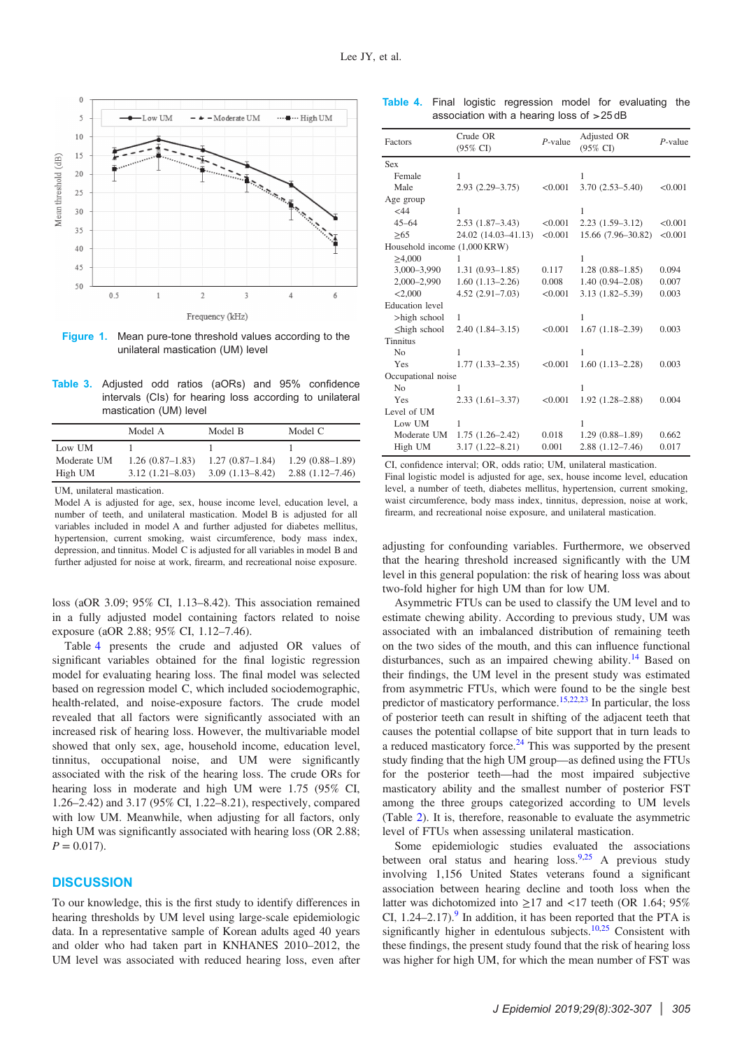<span id="page-3-0"></span>

Figure 1. Mean pure-tone threshold values according to the unilateral mastication (UM) level

Table 3. Adjusted odd ratios (aORs) and 95% confidence intervals (CIs) for hearing loss according to unilateral mastication (UM) level

|             | Model A             | Model B             | Model C             |
|-------------|---------------------|---------------------|---------------------|
| Low UM      |                     |                     |                     |
| Moderate UM | $1.26(0.87-1.83)$   | $1.27(0.87-1.84)$   | $1.29(0.88-1.89)$   |
| High UM     | $3.12(1.21 - 8.03)$ | $3.09(1.13 - 8.42)$ | $2.88(1.12 - 7.46)$ |

UM, unilateral mastication.

Model A is adjusted for age, sex, house income level, education level, a number of teeth, and unilateral mastication. Model B is adjusted for all variables included in model A and further adjusted for diabetes mellitus, hypertension, current smoking, waist circumference, body mass index, depression, and tinnitus. Model C is adjusted for all variables in model B and further adjusted for noise at work, firearm, and recreational noise exposure.

loss (aOR 3.09; 95% CI, 1.13–8.42). This association remained in a fully adjusted model containing factors related to noise exposure (aOR 2.88; 95% CI, 1.12–7.46).

Table 4 presents the crude and adjusted OR values of significant variables obtained for the final logistic regression model for evaluating hearing loss. The final model was selected based on regression model C, which included sociodemographic, health-related, and noise-exposure factors. The crude model revealed that all factors were significantly associated with an increased risk of hearing loss. However, the multivariable model showed that only sex, age, household income, education level, tinnitus, occupational noise, and UM were significantly associated with the risk of the hearing loss. The crude ORs for hearing loss in moderate and high UM were 1.75 (95% CI, 1.26–2.42) and 3.17 (95% CI, 1.22–8.21), respectively, compared with low UM. Meanwhile, when adjusting for all factors, only high UM was significantly associated with hearing loss (OR 2.88;  $P = 0.017$ .

## **DISCUSSION**

To our knowledge, this is the first study to identify differences in hearing thresholds by UM level using large-scale epidemiologic data. In a representative sample of Korean adults aged 40 years and older who had taken part in KNHANES 2010–2012, the UM level was associated with reduced hearing loss, even after

|  | <b>Table 4.</b> Final logistic regression model for evaluating the |  |  |
|--|--------------------------------------------------------------------|--|--|
|  | association with a hearing loss of $>25$ dB                        |  |  |

| Factors                      | Crude OR<br>(95% CI) | $P$ -value | Adjusted OR<br>(95% CI) | $P$ -value |  |  |
|------------------------------|----------------------|------------|-------------------------|------------|--|--|
| Sex                          |                      |            |                         |            |  |  |
| Female                       | 1                    |            | 1                       |            |  |  |
| Male                         | $2.93(2.29 - 3.75)$  | < 0.001    | $3.70(2.53 - 5.40)$     | < 0.001    |  |  |
| Age group                    |                      |            |                         |            |  |  |
| $<$ 44                       | 1                    |            | 1                       |            |  |  |
| $45 - 64$                    | $2.53(1.87-3.43)$    | < 0.001    | $2.23(1.59-3.12)$       | < 0.001    |  |  |
| >65                          | 24.02 (14.03-41.13)  | < 0.001    | 15.66 (7.96-30.82)      | < 0.001    |  |  |
| Household income (1,000 KRW) |                      |            |                         |            |  |  |
| $\geq 4,000$                 | 1                    |            | 1                       |            |  |  |
| 3,000-3,990                  | $1.31(0.93 - 1.85)$  | 0.117      | $1.28(0.88 - 1.85)$     | 0.094      |  |  |
| 2,000-2,990                  | $1.60(1.13 - 2.26)$  | 0.008      | $1.40(0.94 - 2.08)$     | 0.007      |  |  |
| < 2.000                      | $4.52(2.91 - 7.03)$  | < 0.001    | $3.13(1.82 - 5.39)$     | 0.003      |  |  |
| <b>Education</b> level       |                      |            |                         |            |  |  |
| >high school                 | 1                    |            | 1                       |            |  |  |
| $\leq$ high school           | $2.40(1.84 - 3.15)$  | < 0.001    | $1.67(1.18-2.39)$       | 0.003      |  |  |
| <b>Tinnitus</b>              |                      |            |                         |            |  |  |
| No                           | 1                    |            | 1                       |            |  |  |
| Yes                          | $1.77(1.33 - 2.35)$  | < 0.001    | $1.60(1.13 - 2.28)$     | 0.003      |  |  |
| Occupational noise           |                      |            |                         |            |  |  |
| No                           | 1                    |            | 1                       |            |  |  |
| Yes                          | $2.33(1.61-3.37)$    | < 0.001    | $1.92(1.28 - 2.88)$     | 0.004      |  |  |
| Level of UM                  |                      |            |                         |            |  |  |
| Low UM                       | 1                    |            | 1                       |            |  |  |
| Moderate UM                  | $1.75(1.26 - 2.42)$  | 0.018      | $1.29(0.88 - 1.89)$     | 0.662      |  |  |
| High UM                      | $3.17(1.22 - 8.21)$  | 0.001      | $2.88(1.12 - 7.46)$     | 0.017      |  |  |

CI, confidence interval; OR, odds ratio; UM, unilateral mastication.

Final logistic model is adjusted for age, sex, house income level, education level, a number of teeth, diabetes mellitus, hypertension, current smoking, waist circumference, body mass index, tinnitus, depression, noise at work, firearm, and recreational noise exposure, and unilateral mastication.

adjusting for confounding variables. Furthermore, we observed that the hearing threshold increased significantly with the UM level in this general population: the risk of hearing loss was about two-fold higher for high UM than for low UM.

Asymmetric FTUs can be used to classify the UM level and to estimate chewing ability. According to previous study, UM was associated with an imbalanced distribution of remaining teeth on the two sides of the mouth, and this can influence functional disturbances, such as an impaired chewing ability.[14](#page-5-0) Based on their findings, the UM level in the present study was estimated from asymmetric FTUs, which were found to be the single best predictor of masticatory performance.[15,22,23](#page-5-0) In particular, the loss of posterior teeth can result in shifting of the adjacent teeth that causes the potential collapse of bite support that in turn leads to a reduced masticatory force. $24$  This was supported by the present study finding that the high UM group—as defined using the FTUs for the posterior teeth—had the most impaired subjective masticatory ability and the smallest number of posterior FST among the three groups categorized according to UM levels (Table [2](#page-2-0)). It is, therefore, reasonable to evaluate the asymmetric level of FTUs when assessing unilateral mastication.

Some epidemiologic studies evaluated the associations between oral status and hearing  $loss^{9,25}$  $loss^{9,25}$  $loss^{9,25}$  $loss^{9,25}$  $loss^{9,25}$  A previous study involving 1,156 United States veterans found a significant association between hearing decline and tooth loss when the latter was dichotomized into  $\geq$ 17 and <17 teeth (OR 1.64; 95%) CI,  $1.24-2.17$ ).<sup>[9](#page-5-0)</sup> In addition, it has been reported that the PTA is significantly higher in edentulous subjects.<sup>10,25</sup> Consistent with these findings, the present study found that the risk of hearing loss was higher for high UM, for which the mean number of FST was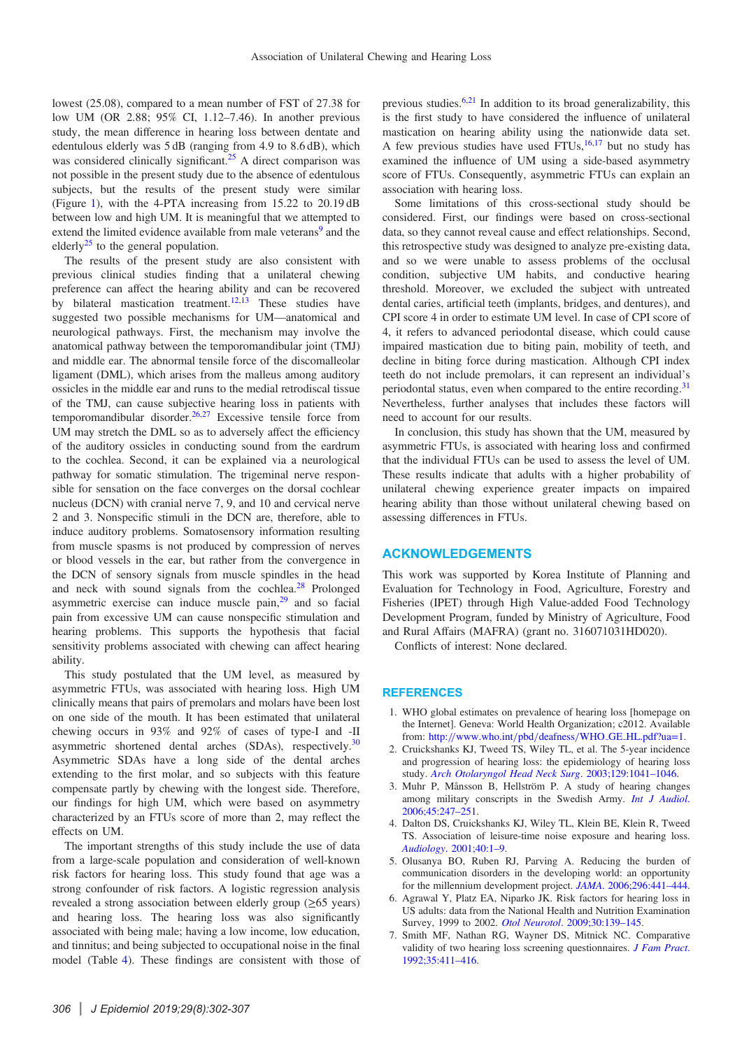<span id="page-4-0"></span>lowest (25.08), compared to a mean number of FST of 27.38 for low UM (OR 2.88; 95% CI, 1.12–7.46). In another previous study, the mean difference in hearing loss between dentate and edentulous elderly was 5 dB (ranging from 4.9 to 8.6 dB), which was considered clinically significant.<sup>[25](#page-5-0)</sup> A direct comparison was not possible in the present study due to the absence of edentulous subjects, but the results of the present study were similar (Figure [1](#page-3-0)), with the 4-PTA increasing from 15.22 to 20.19 dB between low and high UM. It is meaningful that we attempted to extend the limited evidence available from male veterans<sup>[9](#page-5-0)</sup> and the elderly<sup>[25](#page-5-0)</sup> to the general population.

The results of the present study are also consistent with previous clinical studies finding that a unilateral chewing preference can affect the hearing ability and can be recovered by bilateral mastication treatment.<sup>[12,13](#page-5-0)</sup> These studies have suggested two possible mechanisms for UM—anatomical and neurological pathways. First, the mechanism may involve the anatomical pathway between the temporomandibular joint (TMJ) and middle ear. The abnormal tensile force of the discomalleolar ligament (DML), which arises from the malleus among auditory ossicles in the middle ear and runs to the medial retrodiscal tissue of the TMJ, can cause subjective hearing loss in patients with temporomandibular disorder.<sup>[26,27](#page-5-0)</sup> Excessive tensile force from UM may stretch the DML so as to adversely affect the efficiency of the auditory ossicles in conducting sound from the eardrum to the cochlea. Second, it can be explained via a neurological pathway for somatic stimulation. The trigeminal nerve responsible for sensation on the face converges on the dorsal cochlear nucleus (DCN) with cranial nerve 7, 9, and 10 and cervical nerve 2 and 3. Nonspecific stimuli in the DCN are, therefore, able to induce auditory problems. Somatosensory information resulting from muscle spasms is not produced by compression of nerves or blood vessels in the ear, but rather from the convergence in the DCN of sensory signals from muscle spindles in the head and neck with sound signals from the cochlea.<sup>28</sup> Prolonged asymmetric exercise can induce muscle pain,[29](#page-5-0) and so facial pain from excessive UM can cause nonspecific stimulation and hearing problems. This supports the hypothesis that facial sensitivity problems associated with chewing can affect hearing ability.

This study postulated that the UM level, as measured by asymmetric FTUs, was associated with hearing loss. High UM clinically means that pairs of premolars and molars have been lost on one side of the mouth. It has been estimated that unilateral chewing occurs in 93% and 92% of cases of type-I and -II asymmetric shortened dental arches (SDAs), respectively.<sup>30</sup> Asymmetric SDAs have a long side of the dental arches extending to the first molar, and so subjects with this feature compensate partly by chewing with the longest side. Therefore, our findings for high UM, which were based on asymmetry characterized by an FTUs score of more than 2, may reflect the effects on UM.

The important strengths of this study include the use of data from a large-scale population and consideration of well-known risk factors for hearing loss. This study found that age was a strong confounder of risk factors. A logistic regression analysis revealed a strong association between elderly group (≥65 years) and hearing loss. The hearing loss was also significantly associated with being male; having a low income, low education, and tinnitus; and being subjected to occupational noise in the final model (Table [4\)](#page-3-0). These findings are consistent with those of

previous studies. $6,21$  $6,21$  In addition to its broad generalizability, this is the first study to have considered the influence of unilateral mastication on hearing ability using the nationwide data set. A few previous studies have used FTUs,  $^{16,17}$  $^{16,17}$  $^{16,17}$  $^{16,17}$  $^{16,17}$  but no study has examined the influence of UM using a side-based asymmetry score of FTUs. Consequently, asymmetric FTUs can explain an association with hearing loss.

Some limitations of this cross-sectional study should be considered. First, our findings were based on cross-sectional data, so they cannot reveal cause and effect relationships. Second, this retrospective study was designed to analyze pre-existing data, and so we were unable to assess problems of the occlusal condition, subjective UM habits, and conductive hearing threshold. Moreover, we excluded the subject with untreated dental caries, artificial teeth (implants, bridges, and dentures), and CPI score 4 in order to estimate UM level. In case of CPI score of 4, it refers to advanced periodontal disease, which could cause impaired mastication due to biting pain, mobility of teeth, and decline in biting force during mastication. Although CPI index teeth do not include premolars, it can represent an individual'<sup>s</sup> periodontal status, even when compared to the entire recording.<sup>[31](#page-5-0)</sup> Nevertheless, further analyses that includes these factors will need to account for our results.

In conclusion, this study has shown that the UM, measured by asymmetric FTUs, is associated with hearing loss and confirmed that the individual FTUs can be used to assess the level of UM. These results indicate that adults with a higher probability of unilateral chewing experience greater impacts on impaired hearing ability than those without unilateral chewing based on assessing differences in FTUs.

# ACKNOWLEDGEMENTS

This work was supported by Korea Institute of Planning and Evaluation for Technology in Food, Agriculture, Forestry and Fisheries (IPET) through High Value-added Food Technology Development Program, funded by Ministry of Agriculture, Food and Rural Affairs (MAFRA) (grant no. 316071031HD020).

Conflicts of interest: None declared.

#### **REFERENCES**

- 1. WHO global estimates on prevalence of hearing loss [homepage on the Internet]. Geneva: World Health Organization; c2012. Available from: http://www.who.int/pbd/deafness/WHO\_GE\_[HL.pdf?ua=1.](http://www.who.int/pbd/deafness/WHO_GE_HL.pdf?ua=1)
- 2. Cruickshanks KJ, Tweed TS, Wiley TL, et al. The 5-year incidence and progression of hearing loss: the epidemiology of hearing loss study. [Arch Otolaryngol Head Neck Surg](http://www.ncbi.nlm.nih.gov/sites/entrez?cmd=Retrieve&db=PubMed&list_uids=14568784&dopt=Abstract). 2003;129:1041–1046.
- 3. Muhr P, Månsson B, Hellström P. A study of hearing changes among military conscripts in the Swedish Army. [Int J Audiol](http://www.ncbi.nlm.nih.gov/sites/entrez?cmd=Retrieve&db=PubMed&list_uids=16684706&dopt=Abstract). [2006;45:247](http://www.ncbi.nlm.nih.gov/sites/entrez?cmd=Retrieve&db=PubMed&list_uids=16684706&dopt=Abstract)–251.
- 4. Dalton DS, Cruickshanks KJ, Wiley TL, Klein BE, Klein R, Tweed TS. Association of leisure-time noise exposure and hearing loss. Audiology[. 2001;40:1](http://www.ncbi.nlm.nih.gov/sites/entrez?cmd=Retrieve&db=PubMed&list_uids=11296936&dopt=Abstract)–9.
- 5. Olusanya BO, Ruben RJ, Parving A. Reducing the burden of communication disorders in the developing world: an opportunity for the millennium development project. JAMA[. 2006;296:441](http://www.ncbi.nlm.nih.gov/sites/entrez?cmd=Retrieve&db=PubMed&list_uids=16868302&dopt=Abstract)–444.
- 6. Agrawal Y, Platz EA, Niparko JK. Risk factors for hearing loss in US adults: data from the National Health and Nutrition Examination Survey, 1999 to 2002. Otol Neurotol[. 2009;30:139](http://www.ncbi.nlm.nih.gov/sites/entrez?cmd=Retrieve&db=PubMed&list_uids=19092714&dopt=Abstract)–145.
- 7. Smith MF, Nathan RG, Wayner DS, Mitnick NC. Comparative validity of two hearing loss screening questionnaires. [J Fam Pract](http://www.ncbi.nlm.nih.gov/sites/entrez?cmd=Retrieve&db=PubMed&list_uids=1402729&dopt=Abstract). [1992;35:411](http://www.ncbi.nlm.nih.gov/sites/entrez?cmd=Retrieve&db=PubMed&list_uids=1402729&dopt=Abstract)–416.